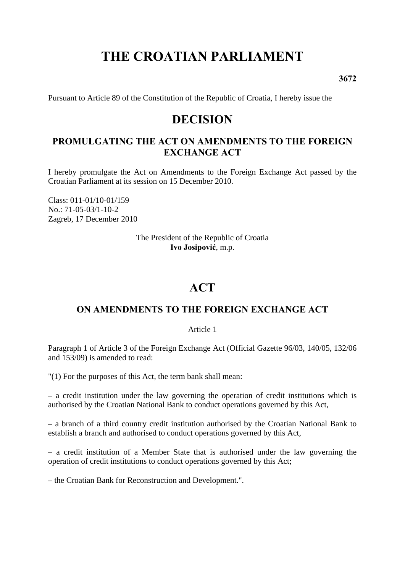# **THE CROATIAN PARLIAMENT**

**3672** 

Pursuant to Article 89 of the Constitution of the Republic of Croatia, I hereby issue the

# **DECISION**

# **PROMULGATING THE ACT ON AMENDMENTS TO THE FOREIGN EXCHANGE ACT**

I hereby promulgate the Act on Amendments to the Foreign Exchange Act passed by the Croatian Parliament at its session on 15 December 2010.

Class: 011-01/10-01/159 No.: 71-05-03/1-10-2 Zagreb, 17 December 2010

> The President of the Republic of Croatia **Ivo Josipović**, m.p.

# **ACT**

# **ON AMENDMENTS TO THE FOREIGN EXCHANGE ACT**

Article 1

Paragraph 1 of Article 3 of the Foreign Exchange Act (Official Gazette 96/03, 140/05, 132/06 and 153/09) is amended to read:

"(1) For the purposes of this Act, the term bank shall mean:

– a credit institution under the law governing the operation of credit institutions which is authorised by the Croatian National Bank to conduct operations governed by this Act,

– a branch of a third country credit institution authorised by the Croatian National Bank to establish a branch and authorised to conduct operations governed by this Act,

– a credit institution of a Member State that is authorised under the law governing the operation of credit institutions to conduct operations governed by this Act;

– the Croatian Bank for Reconstruction and Development.".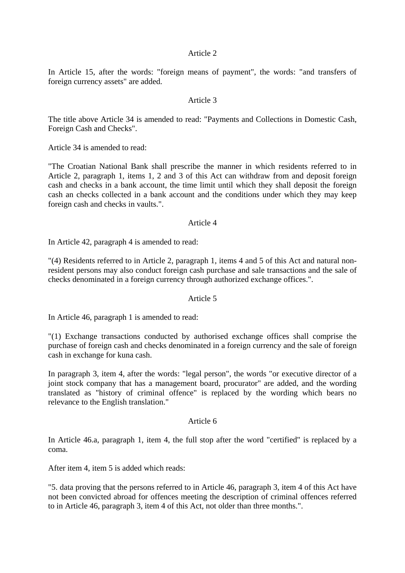#### Article 2

In Article 15, after the words: "foreign means of payment", the words: "and transfers of foreign currency assets" are added.

#### Article 3

The title above Article 34 is amended to read: "Payments and Collections in Domestic Cash, Foreign Cash and Checks".

Article 34 is amended to read:

"The Croatian National Bank shall prescribe the manner in which residents referred to in Article 2, paragraph 1, items 1, 2 and 3 of this Act can withdraw from and deposit foreign cash and checks in a bank account, the time limit until which they shall deposit the foreign cash an checks collected in a bank account and the conditions under which they may keep foreign cash and checks in vaults.".

#### Article 4

In Article 42, paragraph 4 is amended to read:

"(4) Residents referred to in Article 2, paragraph 1, items 4 and 5 of this Act and natural nonresident persons may also conduct foreign cash purchase and sale transactions and the sale of checks denominated in a foreign currency through authorized exchange offices.".

#### Article 5

In Article 46, paragraph 1 is amended to read:

"(1) Exchange transactions conducted by authorised exchange offices shall comprise the purchase of foreign cash and checks denominated in a foreign currency and the sale of foreign cash in exchange for kuna cash.

In paragraph 3, item 4, after the words: "legal person", the words "or executive director of a joint stock company that has a management board, procurator" are added, and the wording translated as "history of criminal offence" is replaced by the wording which bears no relevance to the English translation."

#### Article 6

In Article 46.a, paragraph 1, item 4, the full stop after the word "certified" is replaced by a coma.

After item 4, item 5 is added which reads:

"5. data proving that the persons referred to in Article 46, paragraph 3, item 4 of this Act have not been convicted abroad for offences meeting the description of criminal offences referred to in Article 46, paragraph 3, item 4 of this Act, not older than three months.".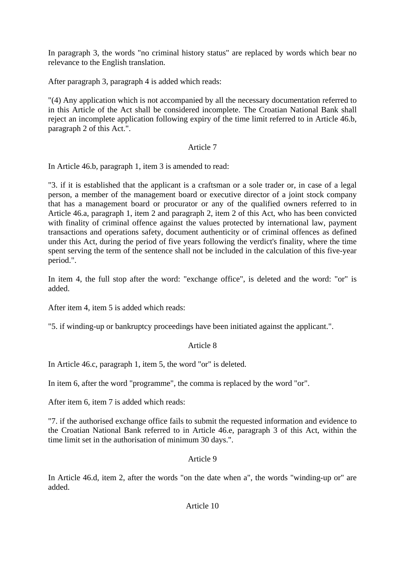In paragraph 3, the words "no criminal history status" are replaced by words which bear no relevance to the English translation.

After paragraph 3, paragraph 4 is added which reads:

"(4) Any application which is not accompanied by all the necessary documentation referred to in this Article of the Act shall be considered incomplete. The Croatian National Bank shall reject an incomplete application following expiry of the time limit referred to in Article 46.b, paragraph 2 of this Act.".

# Article 7

In Article 46.b, paragraph 1, item 3 is amended to read:

"3. if it is established that the applicant is a craftsman or a sole trader or, in case of a legal person, a member of the management board or executive director of a joint stock company that has a management board or procurator or any of the qualified owners referred to in Article 46.a, paragraph 1, item 2 and paragraph 2, item 2 of this Act, who has been convicted with finality of criminal offence against the values protected by international law, payment transactions and operations safety, document authenticity or of criminal offences as defined under this Act, during the period of five years following the verdict's finality, where the time spent serving the term of the sentence shall not be included in the calculation of this five-year period.".

In item 4, the full stop after the word: "exchange office", is deleted and the word: "or" is added.

After item 4, item 5 is added which reads:

"5. if winding-up or bankruptcy proceedings have been initiated against the applicant.".

# Article 8

In Article 46.c, paragraph 1, item 5, the word "or" is deleted.

In item 6, after the word "programme", the comma is replaced by the word "or".

After item 6, item 7 is added which reads:

"7. if the authorised exchange office fails to submit the requested information and evidence to the Croatian National Bank referred to in Article 46.e, paragraph 3 of this Act, within the time limit set in the authorisation of minimum 30 days.".

#### Article 9

In Article 46.d, item 2, after the words "on the date when a", the words "winding-up or" are added.

Article 10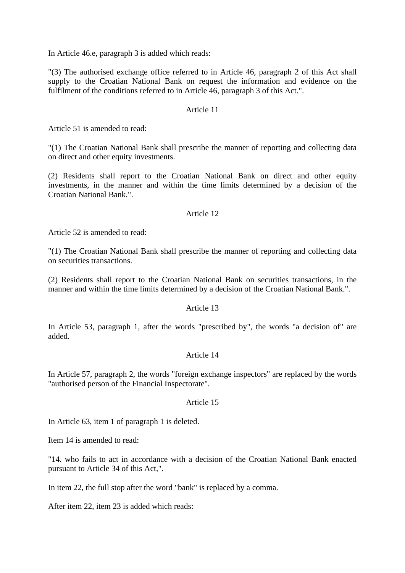In Article 46.e, paragraph 3 is added which reads:

"(3) The authorised exchange office referred to in Article 46, paragraph 2 of this Act shall supply to the Croatian National Bank on request the information and evidence on the fulfilment of the conditions referred to in Article 46, paragraph 3 of this Act.".

#### Article 11

Article 51 is amended to read:

"(1) The Croatian National Bank shall prescribe the manner of reporting and collecting data on direct and other equity investments.

(2) Residents shall report to the Croatian National Bank on direct and other equity investments, in the manner and within the time limits determined by a decision of the Croatian National Bank.".

#### Article 12

Article 52 is amended to read:

"(1) The Croatian National Bank shall prescribe the manner of reporting and collecting data on securities transactions.

(2) Residents shall report to the Croatian National Bank on securities transactions, in the manner and within the time limits determined by a decision of the Croatian National Bank.".

#### Article 13

In Article 53, paragraph 1, after the words "prescribed by", the words "a decision of" are added.

#### Article 14

In Article 57, paragraph 2, the words "foreign exchange inspectors" are replaced by the words "authorised person of the Financial Inspectorate".

#### Article 15

In Article 63, item 1 of paragraph 1 is deleted.

Item 14 is amended to read:

"14. who fails to act in accordance with a decision of the Croatian National Bank enacted pursuant to Article 34 of this Act,".

In item 22, the full stop after the word "bank" is replaced by a comma.

After item 22, item 23 is added which reads: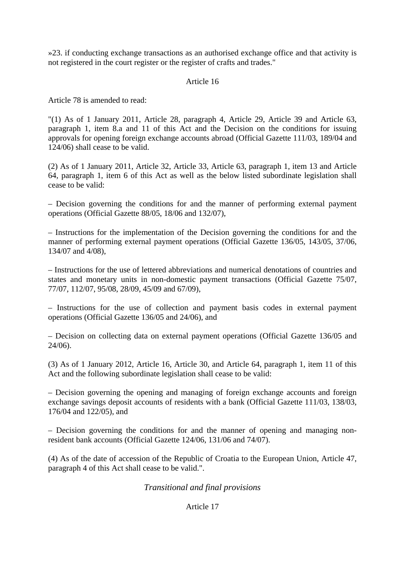»23. if conducting exchange transactions as an authorised exchange office and that activity is not registered in the court register or the register of crafts and trades."

#### Article 16

Article 78 is amended to read:

"(1) As of 1 January 2011, Article 28, paragraph 4, Article 29, Article 39 and Article 63, paragraph 1, item 8.a and 11 of this Act and the Decision on the conditions for issuing approvals for opening foreign exchange accounts abroad (Official Gazette 111/03, 189/04 and 124/06) shall cease to be valid.

(2) As of 1 January 2011, Article 32, Article 33, Article 63, paragraph 1, item 13 and Article 64, paragraph 1, item 6 of this Act as well as the below listed subordinate legislation shall cease to be valid:

– Decision governing the conditions for and the manner of performing external payment operations (Official Gazette 88/05, 18/06 and 132/07),

– Instructions for the implementation of the Decision governing the conditions for and the manner of performing external payment operations (Official Gazette 136/05, 143/05, 37/06, 134/07 and 4/08),

– Instructions for the use of lettered abbreviations and numerical denotations of countries and states and monetary units in non-domestic payment transactions (Official Gazette 75/07, 77/07, 112/07, 95/08, 28/09, 45/09 and 67/09),

– Instructions for the use of collection and payment basis codes in external payment operations (Official Gazette 136/05 and 24/06), and

– Decision on collecting data on external payment operations (Official Gazette 136/05 and 24/06).

(3) As of 1 January 2012, Article 16, Article 30, and Article 64, paragraph 1, item 11 of this Act and the following subordinate legislation shall cease to be valid:

– Decision governing the opening and managing of foreign exchange accounts and foreign exchange savings deposit accounts of residents with a bank (Official Gazette 111/03, 138/03, 176/04 and 122/05), and

– Decision governing the conditions for and the manner of opening and managing nonresident bank accounts (Official Gazette 124/06, 131/06 and 74/07).

(4) As of the date of accession of the Republic of Croatia to the European Union, Article 47, paragraph 4 of this Act shall cease to be valid.".

# *Transitional and final provisions*

#### Article 17